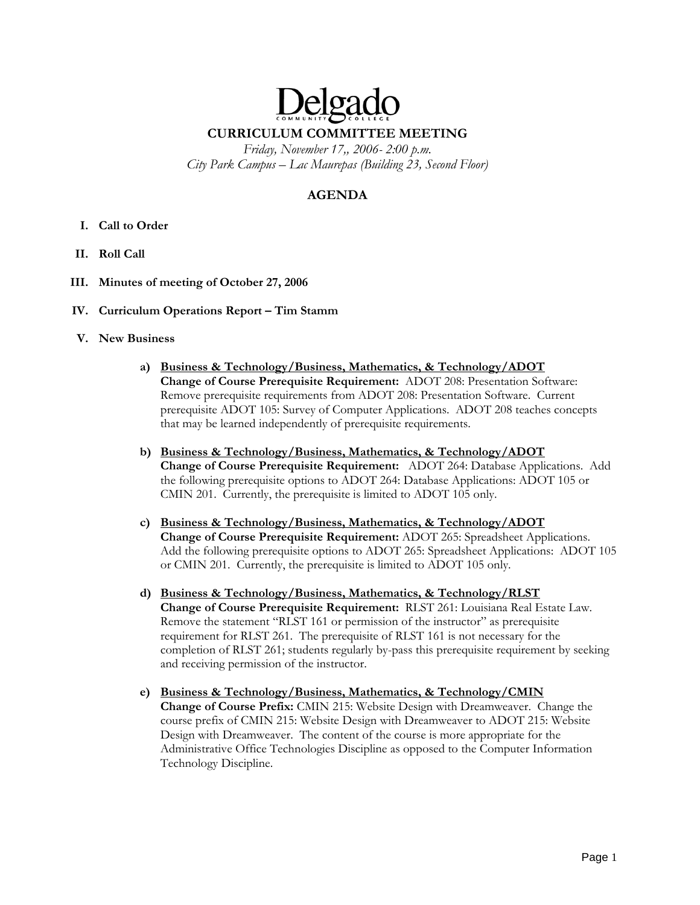# Delga **CURRICULUM COMMITTEE MEETING**

*Friday, November 17,, 2006- 2:00 p.m. City Park Campus – Lac Maurepas (Building 23, Second Floor)* 

# **AGENDA**

- **I. Call to Order**
- **II. Roll Call**
- **III. Minutes of meeting of October 27, 2006**
- **IV. Curriculum Operations Report Tim Stamm**
- **V. New Business** 
	- **a) Business & Technology/Business, Mathematics, & Technology/ADOT Change of Course Prerequisite Requirement:** ADOT 208: Presentation Software: Remove prerequisite requirements from ADOT 208: Presentation Software. Current prerequisite ADOT 105: Survey of Computer Applications. ADOT 208 teaches concepts that may be learned independently of prerequisite requirements.
	- **b) Business & Technology/Business, Mathematics, & Technology/ADOT Change of Course Prerequisite Requirement:** ADOT 264: Database Applications. Add the following prerequisite options to ADOT 264: Database Applications: ADOT 105 or CMIN 201. Currently, the prerequisite is limited to ADOT 105 only.
	- **c) Business & Technology/Business, Mathematics, & Technology/ADOT Change of Course Prerequisite Requirement:** ADOT 265: Spreadsheet Applications. Add the following prerequisite options to ADOT 265: Spreadsheet Applications: ADOT 105 or CMIN 201. Currently, the prerequisite is limited to ADOT 105 only.
	- **d) Business & Technology/Business, Mathematics, & Technology/RLST Change of Course Prerequisite Requirement:** RLST 261: Louisiana Real Estate Law. Remove the statement "RLST 161 or permission of the instructor" as prerequisite requirement for RLST 261. The prerequisite of RLST 161 is not necessary for the completion of RLST 261; students regularly by-pass this prerequisite requirement by seeking and receiving permission of the instructor.
	- **e) Business & Technology/Business, Mathematics, & Technology/CMIN Change of Course Prefix:** CMIN 215: Website Design with Dreamweaver. Change the course prefix of CMIN 215: Website Design with Dreamweaver to ADOT 215: Website Design with Dreamweaver. The content of the course is more appropriate for the Administrative Office Technologies Discipline as opposed to the Computer Information Technology Discipline.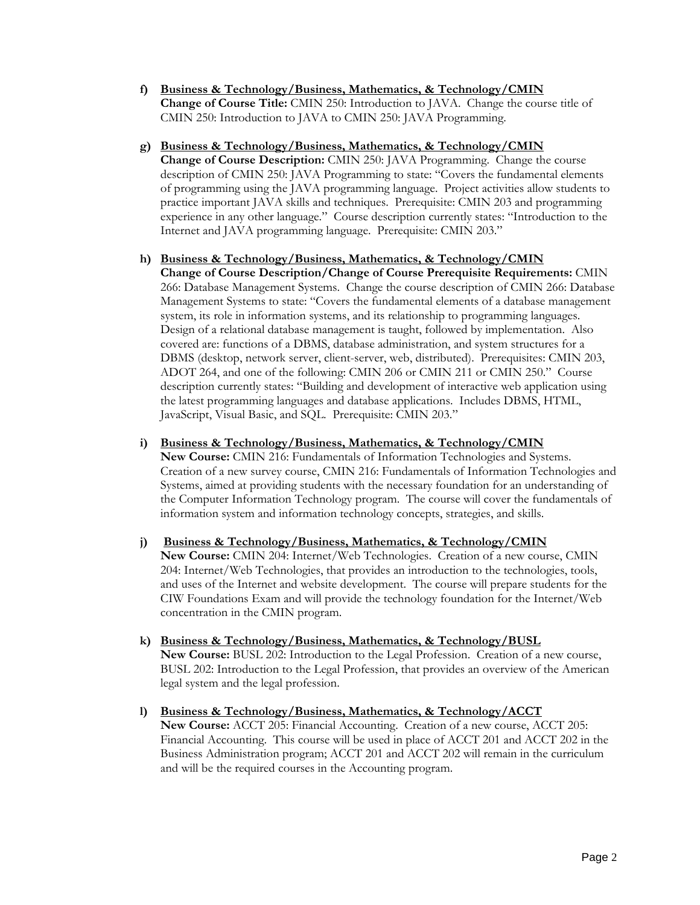- **f) Business & Technology/Business, Mathematics, & Technology/CMIN Change of Course Title:** CMIN 250: Introduction to JAVA. Change the course title of CMIN 250: Introduction to JAVA to CMIN 250: JAVA Programming.
- **g) Business & Technology/Business, Mathematics, & Technology/CMIN Change of Course Description:** CMIN 250: JAVA Programming. Change the course description of CMIN 250: JAVA Programming to state: "Covers the fundamental elements of programming using the JAVA programming language. Project activities allow students to practice important JAVA skills and techniques. Prerequisite: CMIN 203 and programming experience in any other language." Course description currently states: "Introduction to the Internet and JAVA programming language. Prerequisite: CMIN 203."

# **h) Business & Technology/Business, Mathematics, & Technology/CMIN**

**Change of Course Description/Change of Course Prerequisite Requirements:** CMIN 266: Database Management Systems. Change the course description of CMIN 266: Database Management Systems to state: "Covers the fundamental elements of a database management system, its role in information systems, and its relationship to programming languages. Design of a relational database management is taught, followed by implementation. Also covered are: functions of a DBMS, database administration, and system structures for a DBMS (desktop, network server, client-server, web, distributed). Prerequisites: CMIN 203, ADOT 264, and one of the following: CMIN 206 or CMIN 211 or CMIN 250." Course description currently states: "Building and development of interactive web application using the latest programming languages and database applications. Includes DBMS, HTML, JavaScript, Visual Basic, and SQL. Prerequisite: CMIN 203."

#### **i) Business & Technology/Business, Mathematics, & Technology/CMIN**

**New Course:** CMIN 216: Fundamentals of Information Technologies and Systems. Creation of a new survey course, CMIN 216: Fundamentals of Information Technologies and Systems, aimed at providing students with the necessary foundation for an understanding of the Computer Information Technology program. The course will cover the fundamentals of information system and information technology concepts, strategies, and skills.

## **j) Business & Technology/Business, Mathematics, & Technology/CMIN New Course:** CMIN 204: Internet/Web Technologies. Creation of a new course, CMIN 204: Internet/Web Technologies, that provides an introduction to the technologies, tools, and uses of the Internet and website development. The course will prepare students for the CIW Foundations Exam and will provide the technology foundation for the Internet/Web concentration in the CMIN program.

- **k) Business & Technology/Business, Mathematics, & Technology/BUSL New Course:** BUSL 202: Introduction to the Legal Profession. Creation of a new course, BUSL 202: Introduction to the Legal Profession, that provides an overview of the American legal system and the legal profession.
- **l) Business & Technology/Business, Mathematics, & Technology/ACCT New Course:** ACCT 205: Financial Accounting. Creation of a new course, ACCT 205: Financial Accounting. This course will be used in place of ACCT 201 and ACCT 202 in the Business Administration program; ACCT 201 and ACCT 202 will remain in the curriculum and will be the required courses in the Accounting program.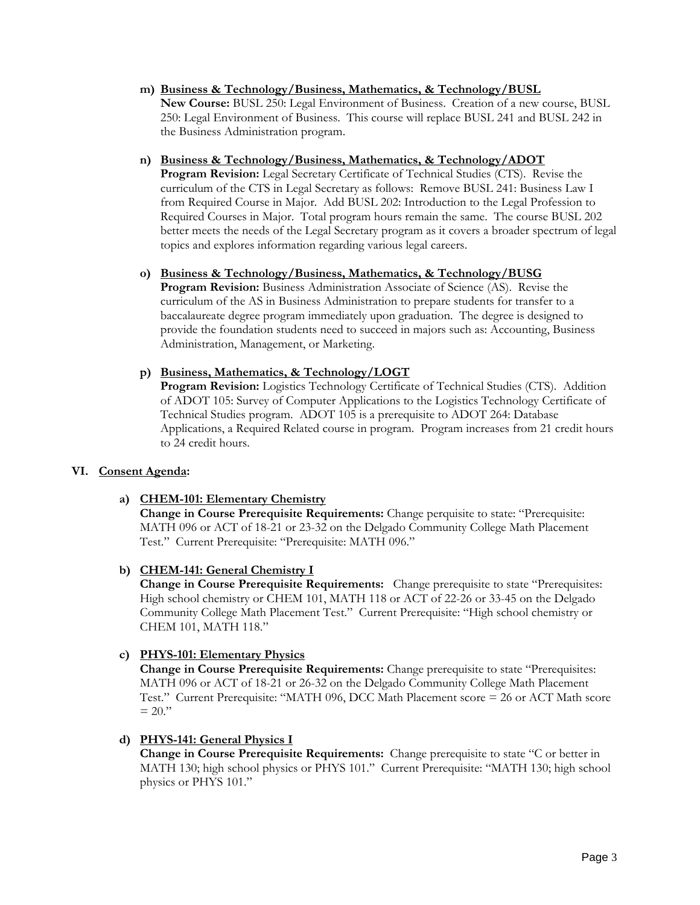**m) Business & Technology/Business, Mathematics, & Technology/BUSL New Course:** BUSL 250: Legal Environment of Business. Creation of a new course, BUSL 250: Legal Environment of Business. This course will replace BUSL 241 and BUSL 242 in the Business Administration program.

#### **n) Business & Technology/Business, Mathematics, & Technology/ADOT**

**Program Revision:** Legal Secretary Certificate of Technical Studies (CTS). Revise the curriculum of the CTS in Legal Secretary as follows: Remove BUSL 241: Business Law I from Required Course in Major. Add BUSL 202: Introduction to the Legal Profession to Required Courses in Major. Total program hours remain the same. The course BUSL 202 better meets the needs of the Legal Secretary program as it covers a broader spectrum of legal topics and explores information regarding various legal careers.

#### **o) Business & Technology/Business, Mathematics, & Technology/BUSG**

**Program Revision:** Business Administration Associate of Science (AS). Revise the curriculum of the AS in Business Administration to prepare students for transfer to a baccalaureate degree program immediately upon graduation. The degree is designed to provide the foundation students need to succeed in majors such as: Accounting, Business Administration, Management, or Marketing.

#### **p) Business, Mathematics, & Technology/LOGT**

**Program Revision:** Logistics Technology Certificate of Technical Studies (CTS). Addition of ADOT 105: Survey of Computer Applications to the Logistics Technology Certificate of Technical Studies program. ADOT 105 is a prerequisite to ADOT 264: Database Applications, a Required Related course in program. Program increases from 21 credit hours to 24 credit hours.

# **VI. Consent Agenda:**

# **a) CHEM-101: Elementary Chemistry**

**Change in Course Prerequisite Requirements:** Change perquisite to state: "Prerequisite: MATH 096 or ACT of 18-21 or 23-32 on the Delgado Community College Math Placement Test." Current Prerequisite: "Prerequisite: MATH 096."

# **b) CHEM-141: General Chemistry I**

**Change in Course Prerequisite Requirements:** Change prerequisite to state "Prerequisites: High school chemistry or CHEM 101, MATH 118 or ACT of 22-26 or 33-45 on the Delgado Community College Math Placement Test." Current Prerequisite: "High school chemistry or CHEM 101, MATH 118."

# **c) PHYS-101: Elementary Physics**

**Change in Course Prerequisite Requirements:** Change prerequisite to state "Prerequisites: MATH 096 or ACT of 18-21 or 26-32 on the Delgado Community College Math Placement Test." Current Prerequisite: "MATH 096, DCC Math Placement score = 26 or ACT Math score  $= 20$ ."

#### **d) PHYS-141: General Physics I**

**Change in Course Prerequisite Requirements:** Change prerequisite to state "C or better in MATH 130; high school physics or PHYS 101." Current Prerequisite: "MATH 130; high school physics or PHYS 101."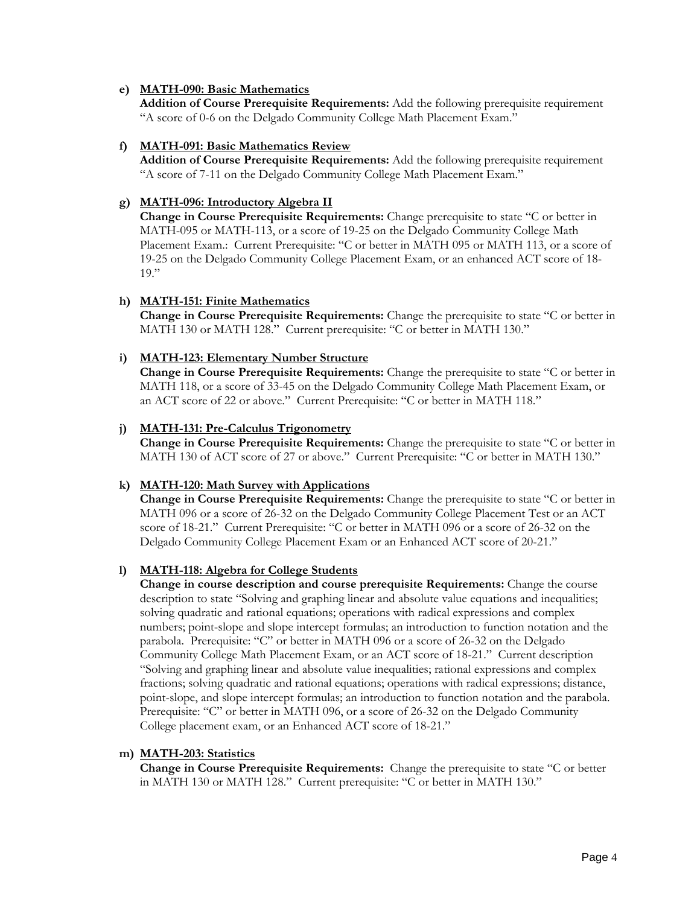#### **e) MATH-090: Basic Mathematics**

**Addition of Course Prerequisite Requirements:** Add the following prerequisite requirement "A score of 0-6 on the Delgado Community College Math Placement Exam."

#### **f) MATH-091: Basic Mathematics Review**

**Addition of Course Prerequisite Requirements:** Add the following prerequisite requirement "A score of 7-11 on the Delgado Community College Math Placement Exam."

# **g) MATH-096: Introductory Algebra II**

**Change in Course Prerequisite Requirements:** Change prerequisite to state "C or better in MATH-095 or MATH-113, or a score of 19-25 on the Delgado Community College Math Placement Exam.: Current Prerequisite: "C or better in MATH 095 or MATH 113, or a score of 19-25 on the Delgado Community College Placement Exam, or an enhanced ACT score of 18-  $19.$ "

#### **h) MATH-151: Finite Mathematics**

**Change in Course Prerequisite Requirements:** Change the prerequisite to state "C or better in MATH 130 or MATH 128." Current prerequisite: "C or better in MATH 130."

#### **i) MATH-123: Elementary Number Structure**

**Change in Course Prerequisite Requirements:** Change the prerequisite to state "C or better in MATH 118, or a score of 33-45 on the Delgado Community College Math Placement Exam, or an ACT score of 22 or above." Current Prerequisite: "C or better in MATH 118."

#### **j) MATH-131: Pre-Calculus Trigonometry**

**Change in Course Prerequisite Requirements:** Change the prerequisite to state "C or better in MATH 130 of ACT score of 27 or above." Current Prerequisite: "C or better in MATH 130."

# **k) MATH-120: Math Survey with Applications**

**Change in Course Prerequisite Requirements:** Change the prerequisite to state "C or better in MATH 096 or a score of 26-32 on the Delgado Community College Placement Test or an ACT score of 18-21." Current Prerequisite: "C or better in MATH 096 or a score of 26-32 on the Delgado Community College Placement Exam or an Enhanced ACT score of 20-21."

# **l) MATH-118: Algebra for College Students**

**Change in course description and course prerequisite Requirements:** Change the course description to state "Solving and graphing linear and absolute value equations and inequalities; solving quadratic and rational equations; operations with radical expressions and complex numbers; point-slope and slope intercept formulas; an introduction to function notation and the parabola. Prerequisite: "C" or better in MATH 096 or a score of 26-32 on the Delgado Community College Math Placement Exam, or an ACT score of 18-21." Current description "Solving and graphing linear and absolute value inequalities; rational expressions and complex fractions; solving quadratic and rational equations; operations with radical expressions; distance, point-slope, and slope intercept formulas; an introduction to function notation and the parabola. Prerequisite: "C" or better in MATH 096, or a score of 26-32 on the Delgado Community College placement exam, or an Enhanced ACT score of 18-21."

#### **m) MATH-203: Statistics**

**Change in Course Prerequisite Requirements:** Change the prerequisite to state "C or better in MATH 130 or MATH 128." Current prerequisite: "C or better in MATH 130."